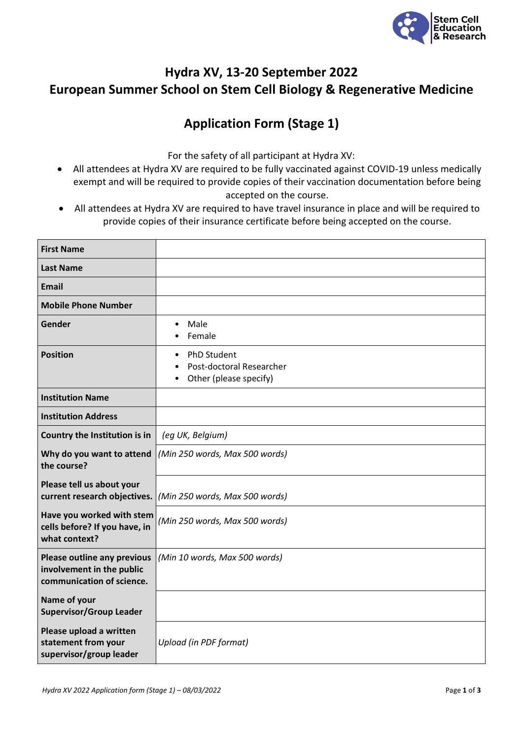

## **Hydra XV, 13-20 September 2022 European Summer School on Stem Cell Biology & Regenerative Medicine**

## **Application Form (Stage 1)**

For the safety of all participant at Hydra XV:

- All attendees at Hydra XV are required to be fully vaccinated against COVID-19 unless medically exempt and will be required to provide copies of their vaccination documentation before being accepted on the course.
- All attendees at Hydra XV are required to have travel insurance in place and will be required to provide copies of their insurance certificate before being accepted on the course.

| <b>First Name</b>                                                                            |                                                                                |
|----------------------------------------------------------------------------------------------|--------------------------------------------------------------------------------|
| <b>Last Name</b>                                                                             |                                                                                |
| <b>Email</b>                                                                                 |                                                                                |
| <b>Mobile Phone Number</b>                                                                   |                                                                                |
| Gender                                                                                       | Male<br>$\bullet$<br>Female                                                    |
| <b>Position</b>                                                                              | PhD Student<br>$\bullet$<br>Post-doctoral Researcher<br>Other (please specify) |
| <b>Institution Name</b>                                                                      |                                                                                |
| <b>Institution Address</b>                                                                   |                                                                                |
| Country the Institution is in                                                                | (eg UK, Belgium)                                                               |
| Why do you want to attend<br>the course?                                                     | (Min 250 words, Max 500 words)                                                 |
| Please tell us about your<br>current research objectives.                                    | (Min 250 words, Max 500 words)                                                 |
| Have you worked with stem<br>cells before? If you have, in<br>what context?                  | (Min 250 words, Max 500 words)                                                 |
| <b>Please outline any previous</b><br>involvement in the public<br>communication of science. | (Min 10 words, Max 500 words)                                                  |
| Name of your<br><b>Supervisor/Group Leader</b>                                               |                                                                                |
| Please upload a written<br>statement from your<br>supervisor/group leader                    | Upload (in PDF format)                                                         |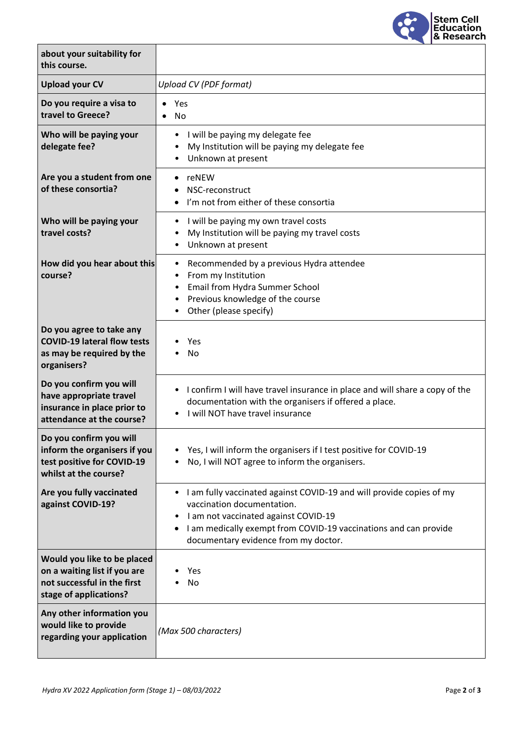

| about your suitability for<br>this course.                                                                           |                                                                                                                                                                                                                                                                       |
|----------------------------------------------------------------------------------------------------------------------|-----------------------------------------------------------------------------------------------------------------------------------------------------------------------------------------------------------------------------------------------------------------------|
| <b>Upload your CV</b>                                                                                                | <b>Upload CV (PDF format)</b>                                                                                                                                                                                                                                         |
| Do you require a visa to<br>travel to Greece?                                                                        | Yes<br>No                                                                                                                                                                                                                                                             |
| Who will be paying your<br>delegate fee?                                                                             | I will be paying my delegate fee<br>My Institution will be paying my delegate fee<br>Unknown at present                                                                                                                                                               |
| Are you a student from one<br>of these consortia?                                                                    | reNEW<br>٠<br>NSC-reconstruct<br>I'm not from either of these consortia                                                                                                                                                                                               |
| Who will be paying your<br>travel costs?                                                                             | I will be paying my own travel costs<br>٠<br>My Institution will be paying my travel costs<br>٠<br>Unknown at present<br>$\bullet$                                                                                                                                    |
| How did you hear about this<br>course?                                                                               | Recommended by a previous Hydra attendee<br>From my Institution<br>$\bullet$<br>Email from Hydra Summer School<br>$\bullet$<br>Previous knowledge of the course<br>Other (please specify)                                                                             |
| Do you agree to take any<br><b>COVID-19 lateral flow tests</b><br>as may be required by the<br>organisers?           | Yes<br><b>No</b>                                                                                                                                                                                                                                                      |
| Do you confirm you will<br>have appropriate travel<br>insurance in place prior to<br>attendance at the course?       | I confirm I will have travel insurance in place and will share a copy of the<br>documentation with the organisers if offered a place.<br>I will NOT have travel insurance                                                                                             |
| Do you confirm you will<br>inform the organisers if you<br>test positive for COVID-19<br>whilst at the course?       | Yes, I will inform the organisers if I test positive for COVID-19<br>No, I will NOT agree to inform the organisers.                                                                                                                                                   |
| Are you fully vaccinated<br>against COVID-19?                                                                        | • I am fully vaccinated against COVID-19 and will provide copies of my<br>vaccination documentation.<br>I am not vaccinated against COVID-19<br>I am medically exempt from COVID-19 vaccinations and can provide<br>$\bullet$<br>documentary evidence from my doctor. |
| Would you like to be placed<br>on a waiting list if you are<br>not successful in the first<br>stage of applications? | Yes<br>No                                                                                                                                                                                                                                                             |
| Any other information you<br>would like to provide<br>regarding your application                                     | (Max 500 characters)                                                                                                                                                                                                                                                  |